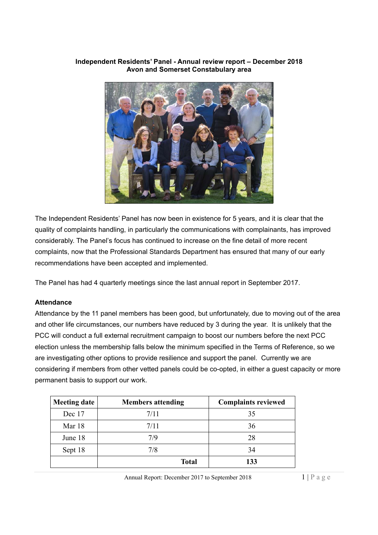#### **Independent Residents' Panel - Annual review report – December 2018 Avon and Somerset Constabulary area**



The Independent Residents' Panel has now been in existence for 5 years, and it is clear that the quality of complaints handling, in particularly the communications with complainants, has improved considerably. The Panel's focus has continued to increase on the fine detail of more recent complaints, now that the Professional Standards Department has ensured that many of our early recommendations have been accepted and implemented.

The Panel has had 4 quarterly meetings since the last annual report in September 2017.

## **Attendance**

Attendance by the 11 panel members has been good, but unfortunately, due to moving out of the area and other life circumstances, our numbers have reduced by 3 during the year. It is unlikely that the PCC will conduct a full external recruitment campaign to boost our numbers before the next PCC election unless the membership falls below the minimum specified in the Terms of Reference, so we are investigating other options to provide resilience and support the panel. Currently we are considering if members from other vetted panels could be co-opted, in either a guest capacity or more permanent basis to support our work.

| <b>Meeting date</b> | <b>Members attending</b> | <b>Complaints reviewed</b> |
|---------------------|--------------------------|----------------------------|
| Dec 17              | 7/11                     | 35                         |
| Mar 18              | 7/11                     | 36                         |
| June 18             | 7/9                      | 28                         |
| Sept 18             | 7/8                      | 34                         |
|                     | Total                    | 133                        |

Annual Report: December 2017 to September 2018 1 | P a g e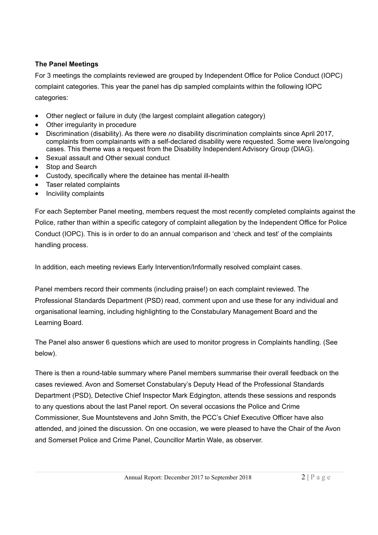## **The Panel Meetings**

For 3 meetings the complaints reviewed are grouped by Independent Office for Police Conduct (IOPC) complaint categories. This year the panel has dip sampled complaints within the following IOPC categories:

- Other neglect or failure in duty (the largest complaint allegation category)
- Other irregularity in procedure
- Discrimination (disability). As there were *no* disability discrimination complaints since April 2017, complaints from complainants with a self-declared disability were requested. Some were live/ongoing cases. This theme was a request from the Disability Independent Advisory Group (DIAG).
- Sexual assault and Other sexual conduct
- Stop and Search
- Custody, specifically where the detainee has mental ill-health
- Taser related complaints
- Incivility complaints

For each September Panel meeting, members request the most recently completed complaints against the Police, rather than within a specific category of complaint allegation by the Independent Office for Police Conduct (IOPC). This is in order to do an annual comparison and 'check and test' of the complaints handling process.

In addition, each meeting reviews Early Intervention/Informally resolved complaint cases.

Panel members record their comments (including praise!) on each complaint reviewed. The Professional Standards Department (PSD) read, comment upon and use these for any individual and organisational learning, including highlighting to the Constabulary Management Board and the Learning Board.

The Panel also answer 6 questions which are used to monitor progress in Complaints handling. (See below).

There is then a round-table summary where Panel members summarise their overall feedback on the cases reviewed. Avon and Somerset Constabulary's Deputy Head of the Professional Standards Department (PSD), Detective Chief Inspector Mark Edgington, attends these sessions and responds to any questions about the last Panel report. On several occasions the Police and Crime Commissioner, Sue Mountstevens and John Smith, the PCC's Chief Executive Officer have also attended, and joined the discussion. On one occasion, we were pleased to have the Chair of the Avon and Somerset Police and Crime Panel, Councillor Martin Wale, as observer.

Annual Report: December 2017 to September 2018 2 | Page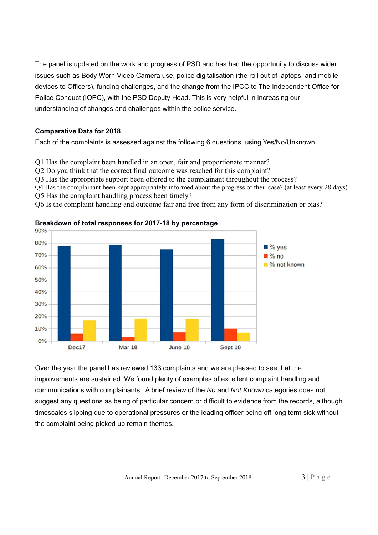The panel is updated on the work and progress of PSD and has had the opportunity to discuss wider issues such as Body Worn Video Camera use, police digitalisation (the roll out of laptops, and mobile devices to Officers), funding challenges, and the change from the IPCC to The Independent Office for Police Conduct (IOPC), with the PSD Deputy Head. This is very helpful in increasing our understanding of changes and challenges within the police service.

## **Comparative Data for 2018**

Each of the complaints is assessed against the following 6 questions, using Yes/No/Unknown.

Q1 Has the complaint been handled in an open, fair and proportionate manner?

Q2 Do you think that the correct final outcome was reached for this complaint?

Q3 Has the appropriate support been offered to the complainant throughout the process?

Q4 Has the complainant been kept appropriately informed about the progress of their case? (at least every 28 days) Q5 Has the complaint handling process been timely?

Q6 Is the complaint handling and outcome fair and free from any form of discrimination or bias?



**Breakdown of total responses for 2017-18 by percentage**

Over the year the panel has reviewed 133 complaints and we are pleased to see that the improvements are sustained. We found plenty of examples of excellent complaint handling and communications with complainants. A brief review of the *No* and *Not Known* categories does not suggest any questions as being of particular concern or difficult to evidence from the records, although timescales slipping due to operational pressures or the leading officer being off long term sick without the complaint being picked up remain themes.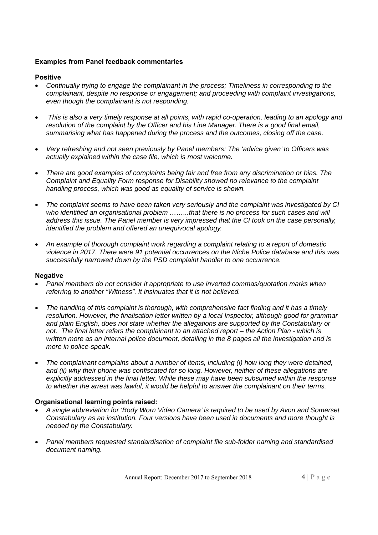#### **Examples from Panel feedback commentaries**

### **Positive**

- *Continually trying to engage the complainant in the process; Timeliness in corresponding to the complainant, despite no response or engagement; and proceeding with complaint investigations, even though the complainant is not responding.*
- *This is also a very timely response at all points, with rapid co-operation, leading to an apology and resolution of the complaint by the Officer and his Line Manager. There is a good final email, summarising what has happened during the process and the outcomes, closing off the case.*
- *Very refreshing and not seen previously by Panel members: The 'advice given' to Officers was actually explained within the case file, which is most welcome.*
- *There are good examples of complaints being fair and free from any discrimination or bias. The Complaint and Equality Form response for Disability showed no relevance to the complaint handling process, which was good as equality of service is shown.*
- *The complaint seems to have been taken very seriously and the complaint was investigated by CI who identified an organisational problem ……...that there is no process for such cases and will address this issue. The Panel member is very impressed that the CI took on the case personally, identified the problem and offered an unequivocal apology.*
- *An example of thorough complaint work regarding a complaint relating to a report of domestic violence in 2017. There were 91 potential occurrences on the Niche Police database and this was successfully narrowed down by the PSD complaint handler to one occurrence.*

#### **Negative**

- *Panel members do not consider it appropriate to use inverted commas/quotation marks when referring to another "Witness". It insinuates that it is not believed.*
- *The handling of this complaint is thorough, with comprehensive fact finding and it has a timely resolution. However, the finalisation letter written by a local Inspector, although good for grammar and plain English, does not state whether the allegations are supported by the Constabulary or not. The final letter refers the complainant to an attached report – the Action Plan - which is written more as an internal police document, detailing in the 8 pages all the investigation and is more in police-speak.*
- *The complainant complains about a number of items, including (i) how long they were detained, and (ii) why their phone was confiscated for so long. However, neither of these allegations are explicitly addressed in the final letter. While these may have been subsumed within the response to whether the arrest was lawful, it would be helpful to answer the complainant on their terms.*

## **Organisational learning points raised:**

- *A single abbreviation for 'Body Worn Video Camera' is required to be used by Avon and Somerset Constabulary as an institution. Four versions have been used in documents and more thought is needed by the Constabulary.*
- *Panel members requested standardisation of complaint file sub-folder naming and standardised document naming.*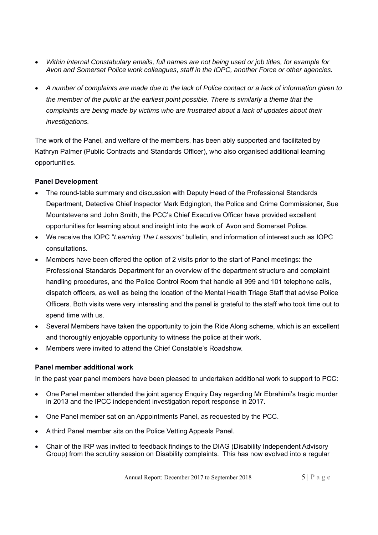- *Within internal Constabulary emails, full names are not being used or job titles, for example for Avon and Somerset Police work colleagues, staff in the IOPC, another Force or other agencies.*
- *A number of complaints are made due to the lack of Police contact or a lack of information given to the member of the public at the earliest point possible. There is similarly a theme that the complaints are being made by victims who are frustrated about a lack of updates about their investigations.*

The work of the Panel, and welfare of the members, has been ably supported and facilitated by Kathryn Palmer (Public Contracts and Standards Officer), who also organised additional learning opportunities.

# **Panel Development**

- The round-table summary and discussion with Deputy Head of the Professional Standards Department, Detective Chief Inspector Mark Edgington, the Police and Crime Commissioner, Sue Mountstevens and John Smith, the PCC's Chief Executive Officer have provided excellent opportunities for learning about and insight into the work of Avon and Somerset Police.
- We receive the IOPC "*Learning The Lessons"* bulletin, and information of interest such as IOPC consultations.
- Members have been offered the option of 2 visits prior to the start of Panel meetings: the Professional Standards Department for an overview of the department structure and complaint handling procedures, and the Police Control Room that handle all 999 and 101 telephone calls, dispatch officers, as well as being the location of the Mental Health Triage Staff that advise Police Officers. Both visits were very interesting and the panel is grateful to the staff who took time out to spend time with us.
- Several Members have taken the opportunity to join the Ride Along scheme, which is an excellent and thoroughly enjoyable opportunity to witness the police at their work.
- Members were invited to attend the Chief Constable's Roadshow.

# **Panel member additional work**

In the past year panel members have been pleased to undertaken additional work to support to PCC:

- One Panel member attended the joint agency Enquiry Day regarding Mr Ebrahimi's tragic murder in 2013 and the IPCC independent investigation report response in 2017.
- One Panel member sat on an Appointments Panel, as requested by the PCC.
- A third Panel member sits on the Police Vetting Appeals Panel.
- Chair of the IRP was invited to feedback findings to the DIAG (Disability Independent Advisory Group) from the scrutiny session on Disability complaints. This has now evolved into a regular